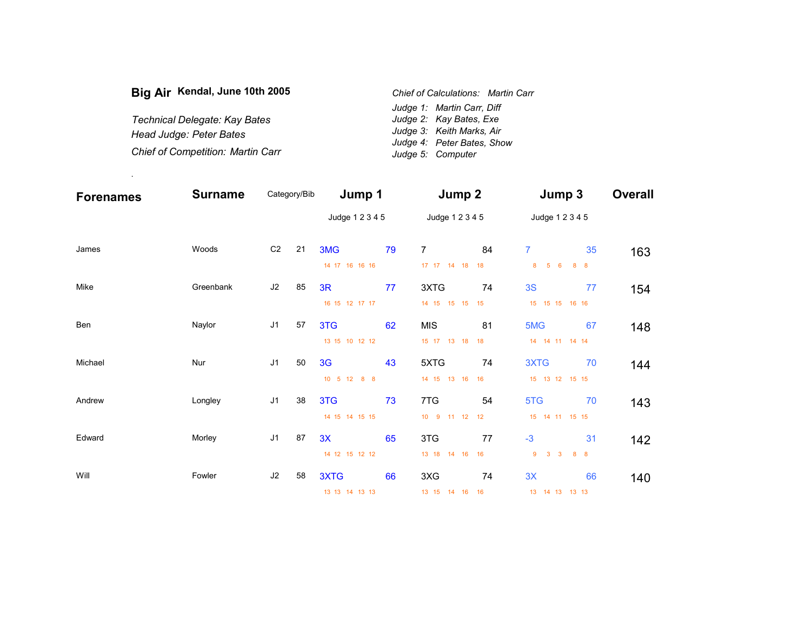| Big Air Kendal, June 10th 2005           | Chief of Calculations: Martin Carr |  |
|------------------------------------------|------------------------------------|--|
|                                          | Judge 1: Martin Carr, Diff         |  |
| Technical Delegate: Kay Bates            | Judge 2: Kay Bates, Exe            |  |
| Head Judge: Peter Bates                  | Judge 3: Keith Marks, Air          |  |
|                                          | Judge 4: Peter Bates, Show         |  |
| <b>Chief of Competition: Martin Carr</b> | Judge 5: Computer                  |  |

.

| <b>Forenames</b> | <b>Surname</b> |                | Category/Bib | Jump 1          |    | Jump 2           |    | Jump 3                                       |                | <b>Overall</b> |
|------------------|----------------|----------------|--------------|-----------------|----|------------------|----|----------------------------------------------|----------------|----------------|
|                  |                |                |              | Judge 1 2 3 4 5 |    | Judge 1 2 3 4 5  |    | Judge 1 2 3 4 5                              |                |                |
| James            | Woods          | C <sub>2</sub> | 21           | 3MG             | 79 | $\overline{7}$   | 84 | $\overline{7}$                               | 35             | 163            |
|                  |                |                |              | 14 17 16 16 16  |    | 17  17  14  18   | 18 | 5 <sup>5</sup><br>$6\overline{6}$<br>8       | 8 <sub>8</sub> |                |
| Mike             | Greenbank      | J2             | 85           | 3R              | 77 | 3XTG             | 74 | 3S                                           | 77             | 154            |
|                  |                |                |              | 16 15 12 17 17  |    | 14 15 15 15 15   |    | 15 15 15 16 16                               |                |                |
| Ben              | Naylor         | J <sub>1</sub> | 57           | 3TG             | 62 | <b>MIS</b>       | 81 | 5MG                                          | 67             | 148            |
|                  |                |                |              | 13 15 10 12 12  |    | 15 17 13 18 18   |    | 14  14  11  14  14                           |                |                |
| Michael          | Nur            | J <sub>1</sub> | 50           | 3 <sub>G</sub>  | 43 | 5XTG             | 74 | 3XTG                                         | 70             | 144            |
|                  |                |                |              | 10 5 12 8 8     |    | 14 15 13 16      | 16 | 15 13 12 15 15                               |                |                |
| Andrew           | Longley        | J <sub>1</sub> | 38           | 3TG             | 73 | 7TG              | 54 | 5TG                                          | 70             | 143            |
|                  |                |                |              | 14 15 14 15 15  |    | 10 9<br>11 12 12 |    | 15 14 11 15 15                               |                |                |
| Edward           | Morley         | J <sub>1</sub> | 87           | 3X              | 65 | 3TG              | 77 | $-3$                                         | 31             | 142            |
|                  |                |                |              | 14 12 15 12 12  |    | 13 18 14 16      | 16 | 9<br>$\mathbf{3}$<br>$\overline{\mathbf{3}}$ | 8 <sub>8</sub> |                |
| Will             | Fowler         | J2             | 58           | 3XTG            | 66 | 3XG              | 74 | 3X                                           | 66             | 140            |
|                  |                |                |              | 13 13 14 13 13  |    | 13 15 14 16      | 16 | 13 14 13<br>13 13                            |                |                |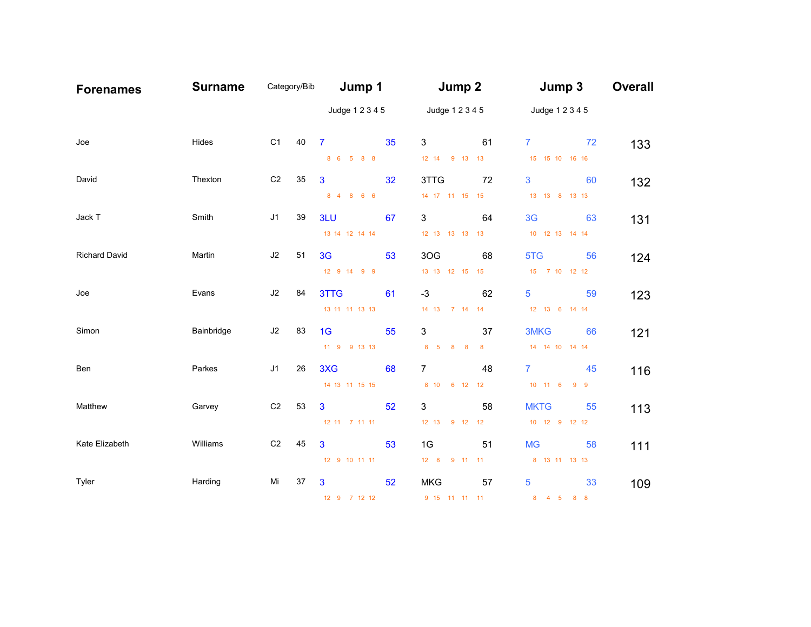| <b>Forenames</b>     | <b>Surname</b> | Category/Bib   |    | Jump 1          |    | Jump 2                    |                  | Jump 3             | <b>Overall</b> |
|----------------------|----------------|----------------|----|-----------------|----|---------------------------|------------------|--------------------|----------------|
|                      |                |                |    | Judge 1 2 3 4 5 |    | Judge 1 2 3 4 5           |                  | Judge 1 2 3 4 5    |                |
| Joe                  | Hides          | C <sub>1</sub> | 40 | $\overline{7}$  | 35 | 3                         | 61               | $\overline{7}$     | 72<br>133      |
|                      |                |                |    | 8 6 5 8 8       |    | 12 14 9 13 13             |                  | 15 15 10 16 16     |                |
| David                | Thexton        | C <sub>2</sub> | 35 | 3               | 32 | 3TTG                      | 72               | 3                  | 60<br>132      |
|                      |                |                |    | 8 4 8 6 6       |    | 14 17 11 15 15            |                  | 13 13 8 13 13      |                |
| Jack T               | Smith          | J1             | 39 | 3LU             | 67 | 3                         | 64               | 3 <sub>G</sub>     | 63<br>131      |
|                      |                |                |    | 13 14 12 14 14  |    | 12 13 13 13 13            |                  | 10 12 13 14 14     |                |
| <b>Richard David</b> | Martin         | J2             | 51 | 3 <sub>G</sub>  | 53 | 3OG                       | 68               | 5TG                | 56<br>124      |
|                      |                |                |    | 12 9 14 9 9     |    | 13 13 12 15 15            |                  | 15 7 10 12 12      |                |
| Joe                  | Evans          | J2             | 84 | 3TTG            | 61 | $-3$                      | 62               | 5                  | 59<br>123      |
|                      |                |                |    | 13 11 11 13 13  |    | 14    13    7    14    14 |                  | 12 13 6 14 14      |                |
| Simon                | Bainbridge     | J2             | 83 | 1 <sub>G</sub>  | 55 | 3                         | 37               | 3MKG               | 66<br>121      |
|                      |                |                |    | 11 9 9 13 13    |    | 8 5 8 8                   | $\boldsymbol{8}$ | 14  14  10  14  14 |                |
| Ben                  | Parkes         | J <sub>1</sub> | 26 | 3XG             | 68 | $\overline{7}$            | 48               | $\overline{7}$     | 45<br>116      |
|                      |                |                |    | 14 13 11 15 15  |    | 8 10 6 12 12              |                  | 10 11 6 9 9        |                |
| Matthew              | Garvey         | C <sub>2</sub> | 53 | 3               | 52 | 3                         | 58               | <b>MKTG</b>        | 55<br>113      |
|                      |                |                |    | 12 11 7 11 11   |    | 12 13 9 12 12             |                  | 10 12 9 12 12      |                |
| Kate Elizabeth       | Williams       | C <sub>2</sub> | 45 | 3               | 53 | 1G                        | 51               | <b>MG</b>          | 58<br>111      |
|                      |                |                |    | 12 9 10 11 11   |    | 12 8 9 11 11              |                  | 8 13 11 13 13      |                |
| Tyler                | Harding        | Mi             | 37 | 3               | 52 | <b>MKG</b>                | 57               | 5                  | 33<br>109      |
|                      |                |                |    | 12 9 7 12 12    |    | 9 15 11 11 11             |                  | 8 4 5 8 8          |                |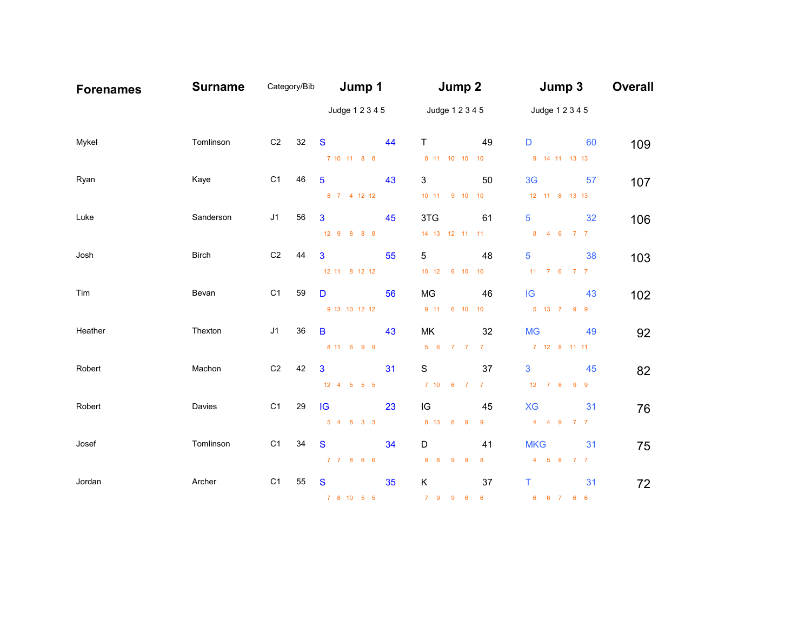| <b>Forenames</b> | <b>Surname</b> | Category/Bib   |    | Jump 1                               |    | Jump 2                              |                 | Jump 3                       | <b>Overall</b> |
|------------------|----------------|----------------|----|--------------------------------------|----|-------------------------------------|-----------------|------------------------------|----------------|
|                  |                |                |    | Judge 1 2 3 4 5                      |    | Judge 1 2 3 4 5                     |                 | Judge 1 2 3 4 5              |                |
| Mykel            | Tomlinson      | C <sub>2</sub> | 32 | <sub>S</sub>                         | 44 | $\mathsf{T}$                        | 49              | 60<br>D                      | 109            |
|                  |                |                |    | 7 10 11 8 8                          |    | 8 11 10 10 10                       |                 | 9 14 11 13 13                |                |
| Ryan             | Kaye           | C <sub>1</sub> | 46 | $5\phantom{.0}$                      | 43 | 3                                   | 50              | 3 <sub>G</sub><br>57         | 107            |
|                  |                |                |    | 8 7 4 12 12                          |    | 10 11 9 10 10                       |                 | 12 11 8 13 13                |                |
| Luke             | Sanderson      | J1             | 56 | 3                                    | 45 | 3TG                                 | 61              | 5<br>32                      | 106            |
|                  |                |                |    | 12 9 8 8 8                           |    | 14  13  12  11  11                  |                 | 8 4 6 7 7                    |                |
| Josh             | <b>Birch</b>   | C <sub>2</sub> | 44 | $\mathbf{3}$                         | 55 | 5                                   | 48              | 5<br>38                      | 103            |
|                  |                |                |    | 12 11 8 12 12                        |    | 10 12 6 10 10                       |                 | 11 7 6 7 7                   |                |
| Tim              | Bevan          | C <sub>1</sub> | 59 | D                                    | 56 | MG                                  | 46              | 43<br>IG                     | 102            |
|                  |                |                |    | 9 13 10 12 12                        |    | 9 11 6 10 10                        |                 | 5 13 7 9 9                   |                |
| Heather          | Thexton        | J1             | 36 | B                                    | 43 | МK                                  | 32              | <b>MG</b><br>49              | 92             |
|                  |                |                |    | 8 11 6 9 9                           |    | 5 6 7 7 7                           |                 | 7 12 8 11 11                 |                |
| Robert           | Machon         | C <sub>2</sub> | 42 | $\mathbf{3}$                         | 31 | $\mathbf S$                         | 37              | 3<br>45                      | 82             |
|                  |                |                |    | $12 \quad 4 \quad 5 \quad 5 \quad 5$ |    | 7 10 6 7                            | 7 <sup>7</sup>  | $12 \qquad 7 \qquad 8$<br>99 |                |
| Robert           | Davies         | C <sub>1</sub> | 29 | IG                                   | 23 | IG                                  | 45              | <b>XG</b><br>31              | 76             |
|                  |                |                |    | 5 4 8 3 3                            |    | 8 13 6 9                            | 9               | 4 4 9 7 7                    |                |
| Josef            | Tomlinson      | C <sub>1</sub> | 34 | S                                    | 34 | D                                   | 41              | <b>MKG</b><br>31             | 75             |
|                  |                |                |    | 7 7 8 6 6                            |    | 8 <sub>8</sub><br>$9 \quad 8$       | 8               | 4 5 8 7 7                    |                |
| Jordan           | Archer         | C <sub>1</sub> | 55 | S                                    | 35 | Κ                                   | 37              | т<br>31                      | 72             |
|                  |                |                |    | 7 8 10 5 5                           |    | 7 9 9<br>$\overline{\phantom{0}}$ 6 | $6\overline{6}$ | 6 6 7 6 6                    |                |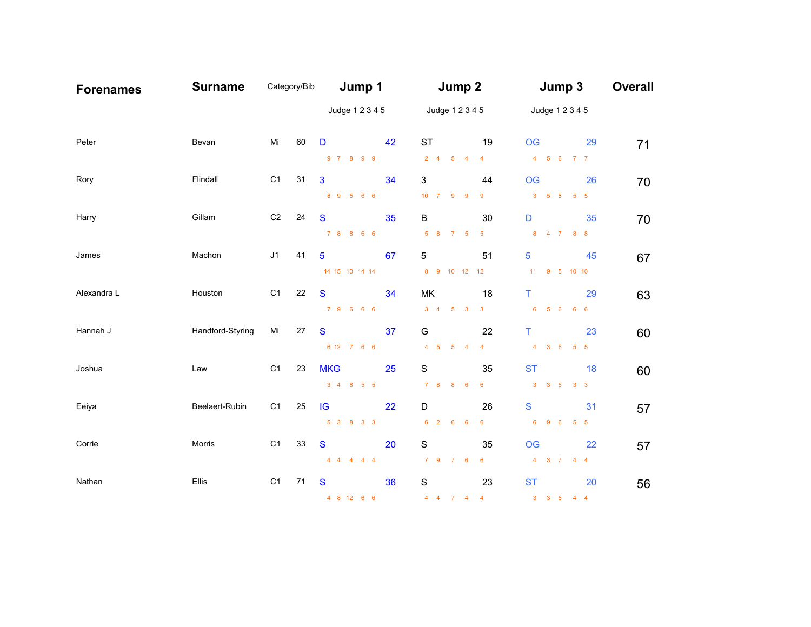| <b>Forenames</b> | <b>Surname</b>   | Category/Bib   |    | Jump 1                              |    | Jump 2                      |                         | Jump 3                              | <b>Overall</b> |
|------------------|------------------|----------------|----|-------------------------------------|----|-----------------------------|-------------------------|-------------------------------------|----------------|
|                  |                  |                |    | Judge 1 2 3 4 5                     |    | Judge 1 2 3 4 5             |                         | Judge 1 2 3 4 5                     |                |
| Peter            | Bevan            | Mi             | 60 | D                                   | 42 | <b>ST</b>                   | 19                      | <b>OG</b><br>29                     | 71             |
|                  |                  |                |    | 9 7 8 9 9                           |    | $2 \quad 4 \quad 5 \quad 4$ | $\overline{4}$          | 4 5 6 7 7                           |                |
| Rory             | Flindall         | C1             | 31 | 3                                   | 34 | 3                           | 44                      | <b>OG</b><br>26                     | 70             |
|                  |                  |                |    | 8 9 5 6 6                           |    | 10 7 9 9                    | 9                       | $3 \quad 5 \quad 8 \quad 5 \quad 5$ |                |
| Harry            | Gillam           | C <sub>2</sub> | 24 | S                                   | 35 | B                           | 30                      | D<br>35                             | 70             |
|                  |                  |                |    | 7 8 8 6 6                           |    | 5 8 7 5                     | $\sqrt{5}$              | 8 4 7 8 8                           |                |
| James            | Machon           | J <sub>1</sub> | 41 | 5                                   | 67 | 5                           | 51                      | 5<br>45                             | 67             |
|                  |                  |                |    | 14 15 10 14 14                      |    | 8 9 10 12 12                |                         | 11 9 5 10 10                        |                |
| Alexandra L      | Houston          | C1             | 22 | $\mathbf{s}$                        | 34 | MK                          | 18                      | T<br>29                             | 63             |
|                  |                  |                |    | 7 9 6 6 6                           |    | $3 \quad 4 \quad 5 \quad 3$ | $\mathbf{3}$            | 6 5 6 6 6                           |                |
| Hannah J         | Handford-Styring | Mi             | 27 | S                                   | 37 | G                           | 22                      | T<br>23                             | 60             |
|                  |                  |                |    | 6 12 7 6 6                          |    | 4 5 5 4                     | $\overline{4}$          | 4 3 6 5 5                           |                |
| Joshua           | Law              | C <sub>1</sub> | 23 | <b>MKG</b>                          | 25 | $\mathbf S$                 | 35                      | <b>ST</b><br>18                     | 60             |
|                  |                  |                |    | $3 \quad 4 \quad 8 \quad 5 \quad 5$ |    | 7 8 8 6                     | $6\phantom{.}6$         | $3 \quad 3 \quad 6$<br>$3 \quad 3$  |                |
| Eeiya            | Beelaert-Rubin   | C1             | 25 | IG                                  | 22 | D                           | 26                      | ${\mathbf S}$<br>31                 | 57             |
|                  |                  |                |    | 5 3 8 3 3                           |    | 6 2 6 6                     | $6\phantom{1}$          | 6 9 6 5 5                           |                |
| Corrie           | Morris           | C1             | 33 | S                                   | 20 | $\mathbf S$                 | 35                      | <b>OG</b><br>22                     | 57             |
|                  |                  |                |    | $4 \quad 4 \quad 4 \quad 4 \quad 4$ |    | 7 9 7 6                     | $6\phantom{1}6$         | 4 3 7 4 4                           |                |
| Nathan           | Ellis            | C <sub>1</sub> | 71 | S                                   | 36 | $\mathbf S$                 | 23                      | <b>ST</b><br>20                     | 56             |
|                  |                  |                |    | 4 8 12 6 6                          |    | $4$ $4$ $7$ $4$             | $\overline{\mathbf{4}}$ | 3 3 6 4 4                           |                |